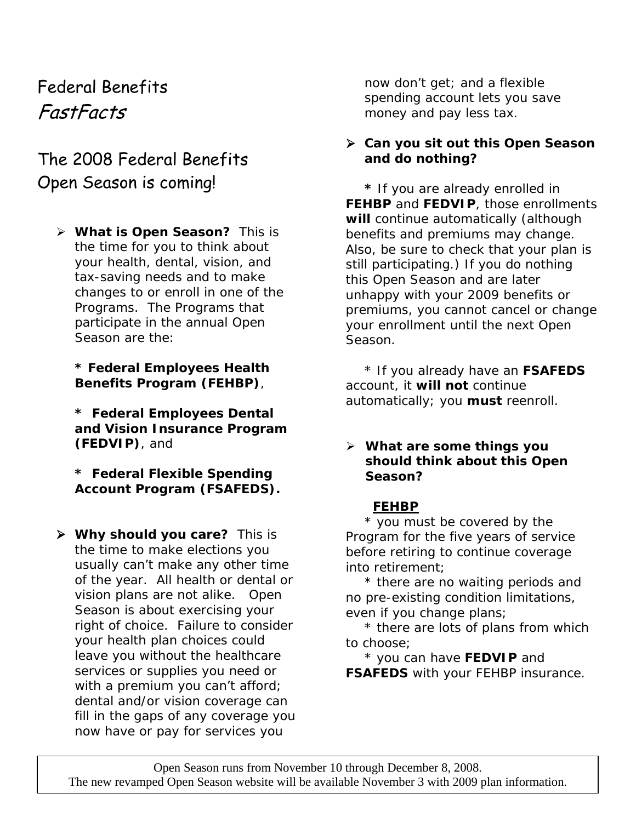# Federal Benefits FastFacts

## The 2008 Federal Benefits Open Season is coming!

¾ **What is Open Season?** This is the time for you to think about your health, dental, vision, and tax-saving needs and to make changes to or enroll in one of the Programs. The Programs that participate in the annual Open Season are the:

**\* Federal Employees Health Benefits Program (FEHBP)**,

**\* Federal Employees Dental and Vision Insurance Program (FEDVIP)**, and

**\* Federal Flexible Spending Account Program (FSAFEDS).** 

¾ **Why should you care?** This is the time to make elections you usually can't make any other time of the year. All health or dental or vision plans are not alike. Open Season is about exercising your right of choice. Failure to consider your health plan choices could leave you without the healthcare services or supplies you need or with a premium you can't afford; dental and/or vision coverage can fill in the gaps of any coverage you now have or pay for services you

now don't get; and a flexible spending account lets you save money and pay less tax.

#### ¾ **Can you sit out this Open Season and do nothing?**

 **\*** If you are already enrolled in **FEHBP** and **FEDVIP**, those enrollments **will** continue automatically (although benefits and premiums may change. Also, be sure to check that your plan is still participating.) If you do nothing this Open Season and are later unhappy with your 2009 benefits or premiums, you cannot cancel or change your enrollment until the next Open Season.

\* If you already have an **FSAFEDS**  account, it **will not** continue automatically; you **must** reenroll.

#### ¾ **What are some things you should think about this Open Season?**

## **FEHBP**

\* you must be covered by the Program for the five years of service before retiring to continue coverage into retirement;

\* there are no waiting periods and no pre-existing condition limitations, even if you change plans;

\* there are lots of plans from which to choose;

\* you can have **FEDVIP** and **FSAFEDS** with your FEHBP insurance.